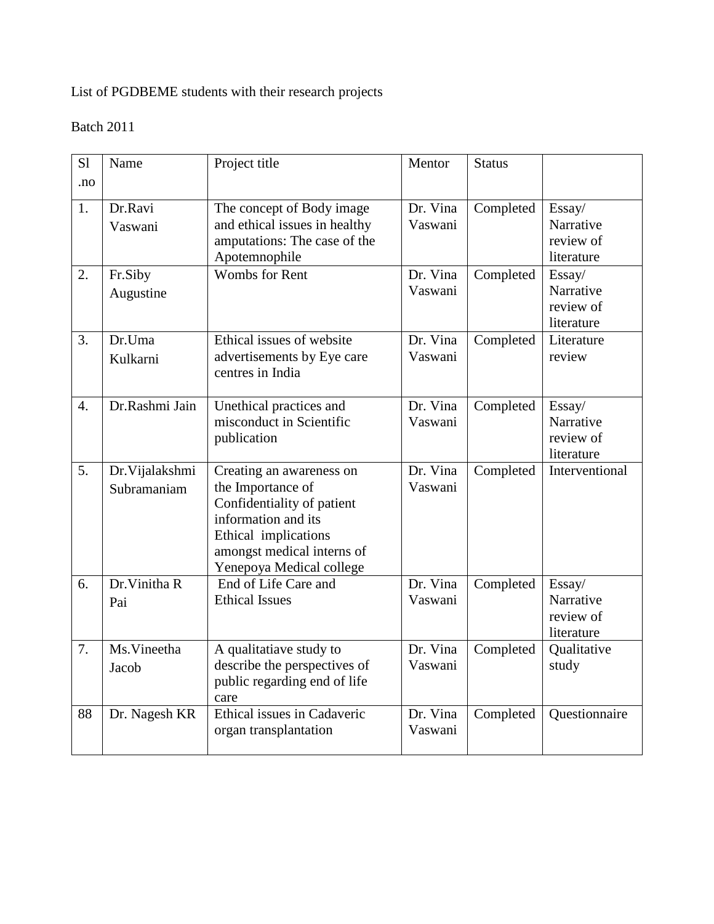# List of PGDBEME students with their research projects

| S <sub>1</sub><br>.no | Name                           | Project title                                                                                                                                                                        | Mentor              | <b>Status</b> |                                                |
|-----------------------|--------------------------------|--------------------------------------------------------------------------------------------------------------------------------------------------------------------------------------|---------------------|---------------|------------------------------------------------|
| 1.                    | Dr.Ravi<br>Vaswani             | The concept of Body image<br>and ethical issues in healthy<br>amputations: The case of the<br>Apotemnophile                                                                          | Dr. Vina<br>Vaswani | Completed     | Essay/<br>Narrative<br>review of<br>literature |
| 2.                    | Fr.Siby<br>Augustine           | <b>Wombs</b> for Rent                                                                                                                                                                | Dr. Vina<br>Vaswani | Completed     | Essay/<br>Narrative<br>review of<br>literature |
| 3.                    | Dr.Uma<br>Kulkarni             | Ethical issues of website<br>advertisements by Eye care<br>centres in India                                                                                                          | Dr. Vina<br>Vaswani | Completed     | Literature<br>review                           |
| 4.                    | Dr.Rashmi Jain                 | Unethical practices and<br>misconduct in Scientific<br>publication                                                                                                                   | Dr. Vina<br>Vaswani | Completed     | Essay/<br>Narrative<br>review of<br>literature |
| 5.                    | Dr. Vijalakshmi<br>Subramaniam | Creating an awareness on<br>the Importance of<br>Confidentiality of patient<br>information and its<br>Ethical implications<br>amongst medical interns of<br>Yenepoya Medical college | Dr. Vina<br>Vaswani | Completed     | Interventional                                 |
| 6.                    | Dr. Vinitha R<br>Pai           | End of Life Care and<br><b>Ethical Issues</b>                                                                                                                                        | Dr. Vina<br>Vaswani | Completed     | Essay/<br>Narrative<br>review of<br>literature |
| 7.                    | Ms.Vineetha<br>Jacob           | A qualitatiave study to<br>describe the perspectives of<br>public regarding end of life<br>care                                                                                      | Dr. Vina<br>Vaswani | Completed     | Qualitative<br>study                           |
| 88                    | Dr. Nagesh KR                  | Ethical issues in Cadaveric<br>organ transplantation                                                                                                                                 | Dr. Vina<br>Vaswani | Completed     | Questionnaire                                  |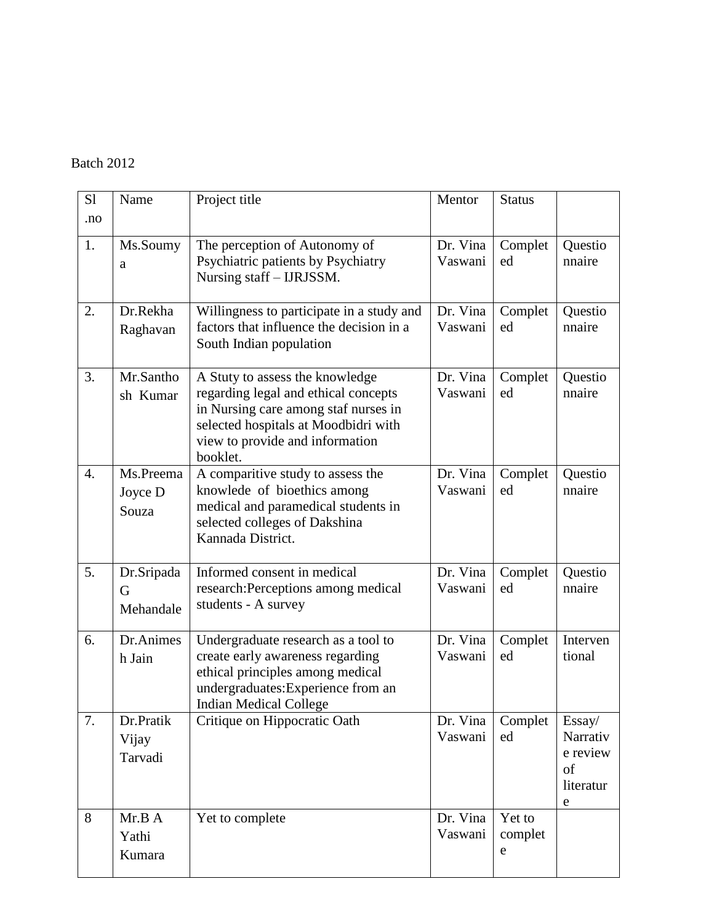| S1<br>.no        | Name                          | Project title                                                                                                                                                                                          | Mentor              | <b>Status</b>          |                                                                |
|------------------|-------------------------------|--------------------------------------------------------------------------------------------------------------------------------------------------------------------------------------------------------|---------------------|------------------------|----------------------------------------------------------------|
| 1.               | Ms.Soumy<br>a                 | The perception of Autonomy of<br>Psychiatric patients by Psychiatry<br>Nursing staff - IJRJSSM.                                                                                                        | Dr. Vina<br>Vaswani | Complet<br>ed          | Questio<br>nnaire                                              |
| 2.               | Dr.Rekha<br>Raghavan          | Willingness to participate in a study and<br>factors that influence the decision in a<br>South Indian population                                                                                       | Dr. Vina<br>Vaswani | Complet<br>ed          | Questio<br>nnaire                                              |
| 3.               | Mr.Santho<br>sh Kumar         | A Stuty to assess the knowledge<br>regarding legal and ethical concepts<br>in Nursing care among staf nurses in<br>selected hospitals at Moodbidri with<br>view to provide and information<br>booklet. | Dr. Vina<br>Vaswani | Complet<br>ed          | Questio<br>nnaire                                              |
| $\overline{4}$ . | Ms.Preema<br>Joyce D<br>Souza | A comparitive study to assess the<br>knowlede of bioethics among<br>medical and paramedical students in<br>selected colleges of Dakshina<br>Kannada District.                                          | Dr. Vina<br>Vaswani | Complet<br>ed          | Questio<br>nnaire                                              |
| 5.               | Dr.Sripada<br>G<br>Mehandale  | Informed consent in medical<br>research: Perceptions among medical<br>students - A survey                                                                                                              | Dr. Vina<br>Vaswani | Complet<br>ed          | Questio<br>nnaire                                              |
| 6.               | Dr.Animes<br>h Jain           | Undergraduate research as a tool to<br>create early awareness regarding<br>ethical principles among medical<br>undergraduates: Experience from an<br><b>Indian Medical College</b>                     | Dr. Vina<br>Vaswani | Complet<br>ed          | Interven<br>tional                                             |
| 7.               | Dr.Pratik<br>Vijay<br>Tarvadi | Critique on Hippocratic Oath                                                                                                                                                                           | Dr. Vina<br>Vaswani | Complet<br>ed          | Essay/<br>Narrativ<br>e review<br>of<br>literatur<br>${\rm e}$ |
| 8                | Mr.B A<br>Yathi<br>Kumara     | Yet to complete                                                                                                                                                                                        | Dr. Vina<br>Vaswani | Yet to<br>complet<br>e |                                                                |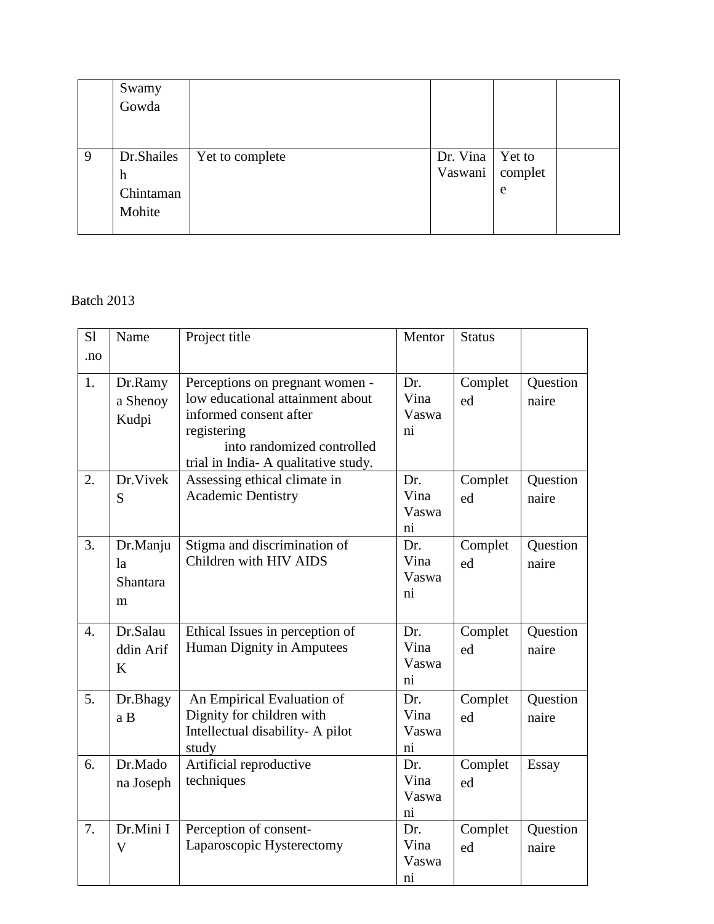|   | Swamy      |                 |                   |   |  |
|---|------------|-----------------|-------------------|---|--|
|   | Gowda      |                 |                   |   |  |
|   |            |                 |                   |   |  |
|   |            |                 |                   |   |  |
| 9 | Dr.Shailes | Yet to complete | Dr. Vina   Yet to |   |  |
|   | h          |                 | Vaswani   complet |   |  |
|   | Chintaman  |                 |                   | e |  |
|   | Mohite     |                 |                   |   |  |
|   |            |                 |                   |   |  |

| S1               | Name                                 | Project title                                                                                                                                                                     | Mentor                                         | <b>Status</b> |                   |
|------------------|--------------------------------------|-----------------------------------------------------------------------------------------------------------------------------------------------------------------------------------|------------------------------------------------|---------------|-------------------|
| .no              |                                      |                                                                                                                                                                                   |                                                |               |                   |
| 1.               | Dr.Ramy<br>a Shenoy<br>Kudpi         | Perceptions on pregnant women -<br>low educational attainment about<br>informed consent after<br>registering<br>into randomized controlled<br>trial in India-A qualitative study. | Dr.<br>Vina<br>Vaswa<br>$\overline{\text{ni}}$ | Complet<br>ed | Question<br>naire |
| 2.               | Dr.Vivek<br>S                        | Assessing ethical climate in<br><b>Academic Dentistry</b>                                                                                                                         | Dr.<br>Vina<br>Vaswa<br>ni                     | Complet<br>ed | Question<br>naire |
| 3.               | Dr.Manju<br>la<br>Shantara<br>m      | Stigma and discrimination of<br>Children with HIV AIDS                                                                                                                            | Dr.<br>Vina<br>Vaswa<br>ni                     | Complet<br>ed | Question<br>naire |
| $\overline{4}$ . | Dr.Salau<br>ddin Arif<br>K           | Ethical Issues in perception of<br>Human Dignity in Amputees                                                                                                                      | Dr.<br>Vina<br>Vaswa<br>ni                     | Complet<br>ed | Question<br>naire |
| 5.               | Dr.Bhagy<br>a B                      | An Empirical Evaluation of<br>Dignity for children with<br>Intellectual disability- A pilot<br>study                                                                              | Dr.<br>Vina<br>Vaswa<br>$\overline{\text{ni}}$ | Complet<br>ed | Question<br>naire |
| 6.               | Dr.Mado<br>na Joseph                 | Artificial reproductive<br>techniques                                                                                                                                             | Dr.<br>Vina<br>Vaswa<br>$\overline{\text{ni}}$ | Complet<br>ed | Essay             |
| 7.               | Dr.Mini I<br>$\overline{\mathsf{V}}$ | Perception of consent-<br>Laparoscopic Hysterectomy                                                                                                                               | Dr.<br>Vina<br>Vaswa<br>$\overline{\text{ni}}$ | Complet<br>ed | Question<br>naire |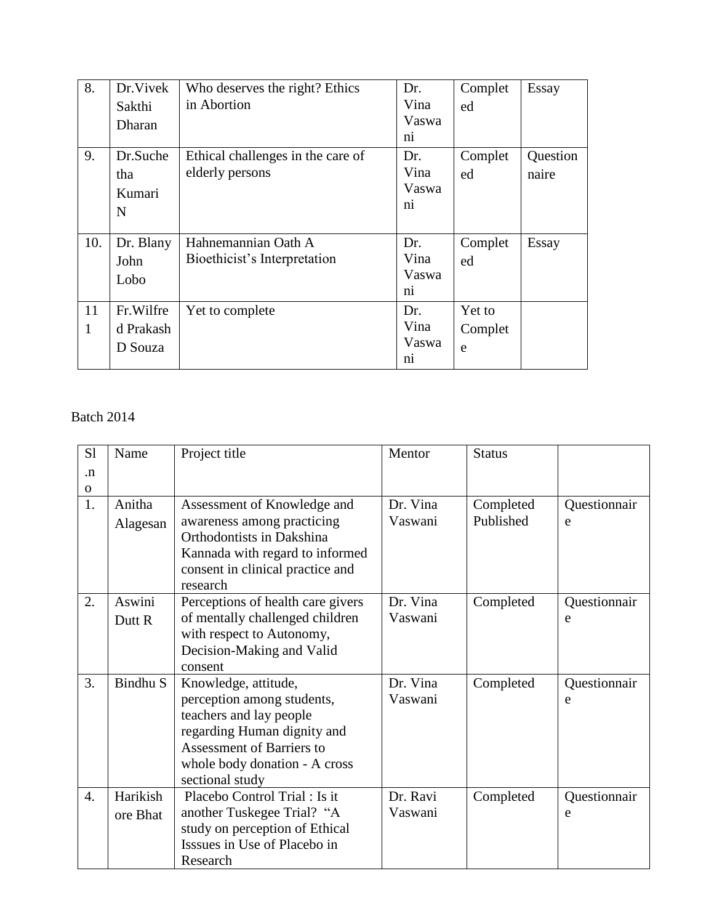| 8.      | Dr. Vivek<br>Sakthi<br>Dharan     | Who deserves the right? Ethics<br>in Abortion        | Dr.<br>Vina<br>Vaswa<br>n <sub>1</sub>         | Complet<br>ed          | Essay             |
|---------|-----------------------------------|------------------------------------------------------|------------------------------------------------|------------------------|-------------------|
| 9.      | Dr.Suche<br>tha<br>Kumari<br>N    | Ethical challenges in the care of<br>elderly persons | Dr.<br>Vina<br>Vaswa<br>$\overline{ni}$        | Complet<br>ed          | Question<br>naire |
| 10.     | Dr. Blany<br>John<br>Lobo         | Hahnemannian Oath A<br>Bioethicist's Interpretation  | Dr.<br>Vina<br>Vaswa<br>$\overline{\text{ni}}$ | Complet<br>ed          | Essay             |
| 11<br>1 | Fr.Wilfre<br>d Prakash<br>D Souza | Yet to complete                                      | Dr.<br>Vina<br>Vaswa<br>$\overline{\text{ni}}$ | Yet to<br>Complet<br>e |                   |

| S1               | Name     | Project title                     | Mentor   | <b>Status</b> |              |
|------------------|----------|-----------------------------------|----------|---------------|--------------|
| $\cdot$ n        |          |                                   |          |               |              |
| $\mathbf 0$      |          |                                   |          |               |              |
| 1.               | Anitha   | Assessment of Knowledge and       | Dr. Vina | Completed     | Questionnair |
|                  | Alagesan | awareness among practicing        | Vaswani  | Published     | e            |
|                  |          | Orthodontists in Dakshina         |          |               |              |
|                  |          | Kannada with regard to informed   |          |               |              |
|                  |          | consent in clinical practice and  |          |               |              |
|                  |          | research                          |          |               |              |
| 2.               | Aswini   | Perceptions of health care givers | Dr. Vina | Completed     | Questionnair |
|                  | Dutt R   | of mentally challenged children   | Vaswani  |               | e            |
|                  |          | with respect to Autonomy,         |          |               |              |
|                  |          | Decision-Making and Valid         |          |               |              |
|                  |          | consent                           |          |               |              |
| 3.               | Bindhu S | Knowledge, attitude,              | Dr. Vina | Completed     | Questionnair |
|                  |          | perception among students,        | Vaswani  |               | e            |
|                  |          | teachers and lay people           |          |               |              |
|                  |          | regarding Human dignity and       |          |               |              |
|                  |          | <b>Assessment of Barriers to</b>  |          |               |              |
|                  |          | whole body donation - A cross     |          |               |              |
|                  |          | sectional study                   |          |               |              |
| $\overline{4}$ . | Harikish | Placebo Control Trial : Is it     | Dr. Ravi | Completed     | Questionnair |
|                  | ore Bhat | another Tuskegee Trial? "A        | Vaswani  |               | e            |
|                  |          | study on perception of Ethical    |          |               |              |
|                  |          | Isssues in Use of Placebo in      |          |               |              |
|                  |          | Research                          |          |               |              |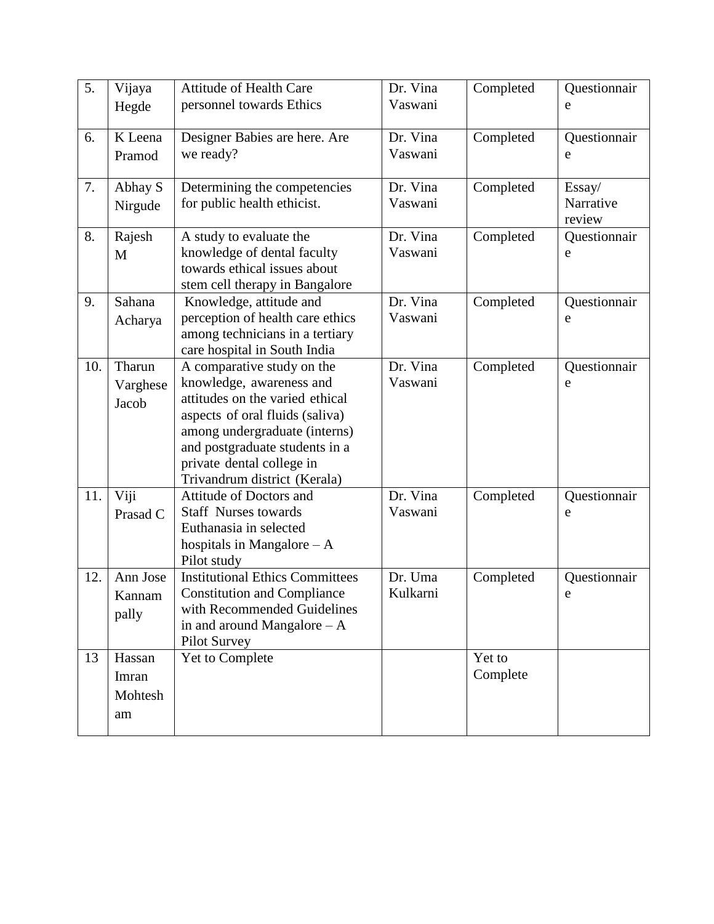| 5.  | Vijaya<br>Hegde                  | <b>Attitude of Health Care</b><br>personnel towards Ethics                                                                                                                                                                                                   | Dr. Vina<br>Vaswani | Completed          | Questionnair<br>e             |
|-----|----------------------------------|--------------------------------------------------------------------------------------------------------------------------------------------------------------------------------------------------------------------------------------------------------------|---------------------|--------------------|-------------------------------|
| 6.  | K Leena<br>Pramod                | Designer Babies are here. Are<br>we ready?                                                                                                                                                                                                                   | Dr. Vina<br>Vaswani | Completed          | Questionnair<br>e             |
| 7.  | Abhay S<br>Nirgude               | Determining the competencies<br>for public health ethicist.                                                                                                                                                                                                  | Dr. Vina<br>Vaswani | Completed          | Essay/<br>Narrative<br>review |
| 8.  | Rajesh<br>M                      | A study to evaluate the<br>knowledge of dental faculty<br>towards ethical issues about<br>stem cell therapy in Bangalore                                                                                                                                     | Dr. Vina<br>Vaswani | Completed          | Questionnair<br>e             |
| 9.  | Sahana<br>Acharya                | Knowledge, attitude and<br>perception of health care ethics<br>among technicians in a tertiary<br>care hospital in South India                                                                                                                               | Dr. Vina<br>Vaswani | Completed          | Questionnair<br>e             |
| 10. | Tharun<br>Varghese<br>Jacob      | A comparative study on the<br>knowledge, awareness and<br>attitudes on the varied ethical<br>aspects of oral fluids (saliva)<br>among undergraduate (interns)<br>and postgraduate students in a<br>private dental college in<br>Trivandrum district (Kerala) | Dr. Vina<br>Vaswani | Completed          | Questionnair<br>e             |
| 11. | Viji<br>Prasad C                 | Attitude of Doctors and<br><b>Staff Nurses towards</b><br>Euthanasia in selected<br>hospitals in Mangalore $- A$<br>Pilot study                                                                                                                              | Dr. Vina<br>Vaswani | Completed          | Questionnair<br>e             |
| 12. | Ann Jose<br>Kannam<br>pally      | <b>Institutional Ethics Committees</b><br><b>Constitution and Compliance</b><br>with Recommended Guidelines<br>in and around Mangalore $- A$<br><b>Pilot Survey</b>                                                                                          | Dr. Uma<br>Kulkarni | Completed          | Questionnair<br>e             |
| 13  | Hassan<br>Imran<br>Mohtesh<br>am | Yet to Complete                                                                                                                                                                                                                                              |                     | Yet to<br>Complete |                               |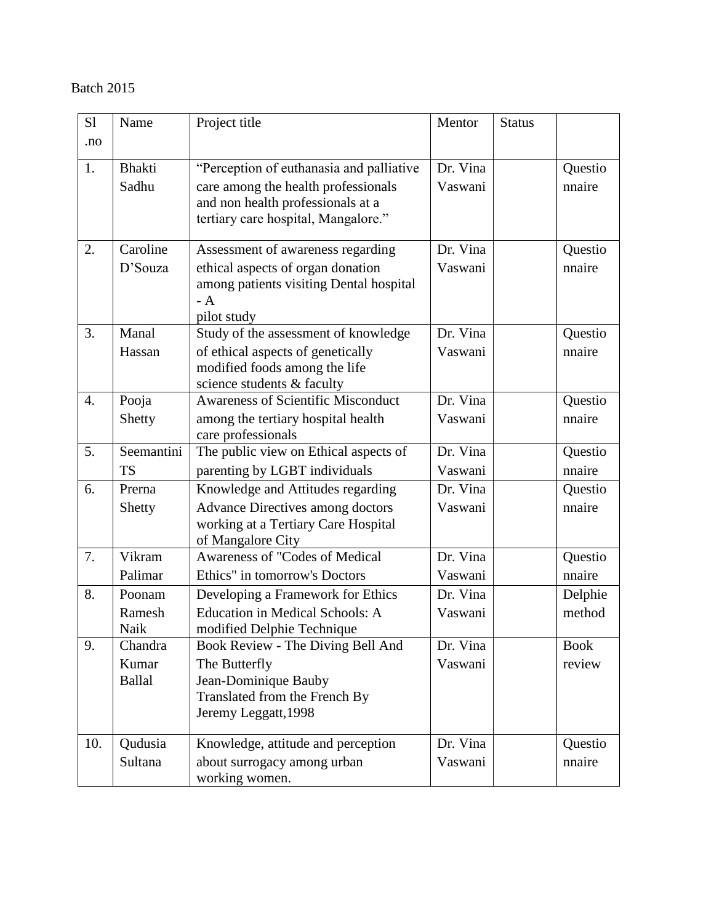| S1  | Name                | Project title                                                                | Mentor              | <b>Status</b> |                   |
|-----|---------------------|------------------------------------------------------------------------------|---------------------|---------------|-------------------|
| .no |                     |                                                                              |                     |               |                   |
| 1.  | <b>Bhakti</b>       | "Perception of euthanasia and palliative                                     | Dr. Vina            |               | Questio           |
|     | Sadhu               | care among the health professionals                                          | Vaswani             |               | nnaire            |
|     |                     | and non health professionals at a                                            |                     |               |                   |
|     |                     | tertiary care hospital, Mangalore."                                          |                     |               |                   |
|     |                     |                                                                              |                     |               |                   |
| 2.  | Caroline<br>D'Souza | Assessment of awareness regarding                                            | Dr. Vina<br>Vaswani |               | Questio<br>nnaire |
|     |                     | ethical aspects of organ donation<br>among patients visiting Dental hospital |                     |               |                   |
|     |                     | $- A$                                                                        |                     |               |                   |
|     |                     | pilot study                                                                  |                     |               |                   |
| 3.  | Manal               | Study of the assessment of knowledge                                         | Dr. Vina            |               | Questio           |
|     | Hassan              | of ethical aspects of genetically                                            | Vaswani             |               | nnaire            |
|     |                     | modified foods among the life                                                |                     |               |                   |
| 4.  | Pooja               | science students & faculty<br><b>Awareness of Scientific Misconduct</b>      | Dr. Vina            |               | Questio           |
|     | Shetty              | among the tertiary hospital health                                           | Vaswani             |               | nnaire            |
|     |                     | care professionals                                                           |                     |               |                   |
| 5.  | Seemantini          | The public view on Ethical aspects of                                        | Dr. Vina            |               | Questio           |
|     | <b>TS</b>           | parenting by LGBT individuals                                                | Vaswani             |               | nnaire            |
| 6.  | Prerna              | Knowledge and Attitudes regarding                                            | Dr. Vina            |               | Questio           |
|     | Shetty              | <b>Advance Directives among doctors</b>                                      | Vaswani             |               | nnaire            |
|     |                     | working at a Tertiary Care Hospital                                          |                     |               |                   |
|     |                     | of Mangalore City                                                            |                     |               |                   |
| 7.  | Vikram              | Awareness of "Codes of Medical                                               | Dr. Vina            |               | Questio           |
|     | Palimar             | Ethics" in tomorrow's Doctors                                                | Vaswani             |               | nnaire            |
| 8.  | Poonam              | Developing a Framework for Ethics                                            | Dr. Vina            |               | Delphie           |
|     | Ramesh<br>Naik      | <b>Education in Medical Schools: A</b><br>modified Delphie Technique         | Vaswani             |               | method            |
| 9.  | Chandra             | Book Review - The Diving Bell And                                            | Dr. Vina            |               | <b>Book</b>       |
|     | Kumar               | The Butterfly                                                                | Vaswani             |               | review            |
|     | <b>Ballal</b>       | Jean-Dominique Bauby                                                         |                     |               |                   |
|     |                     | Translated from the French By                                                |                     |               |                   |
|     |                     | Jeremy Leggatt, 1998                                                         |                     |               |                   |
| 10. | Qudusia             | Knowledge, attitude and perception                                           | Dr. Vina            |               | Questio           |
|     | Sultana             | about surrogacy among urban                                                  | Vaswani             |               | nnaire            |
|     |                     | working women.                                                               |                     |               |                   |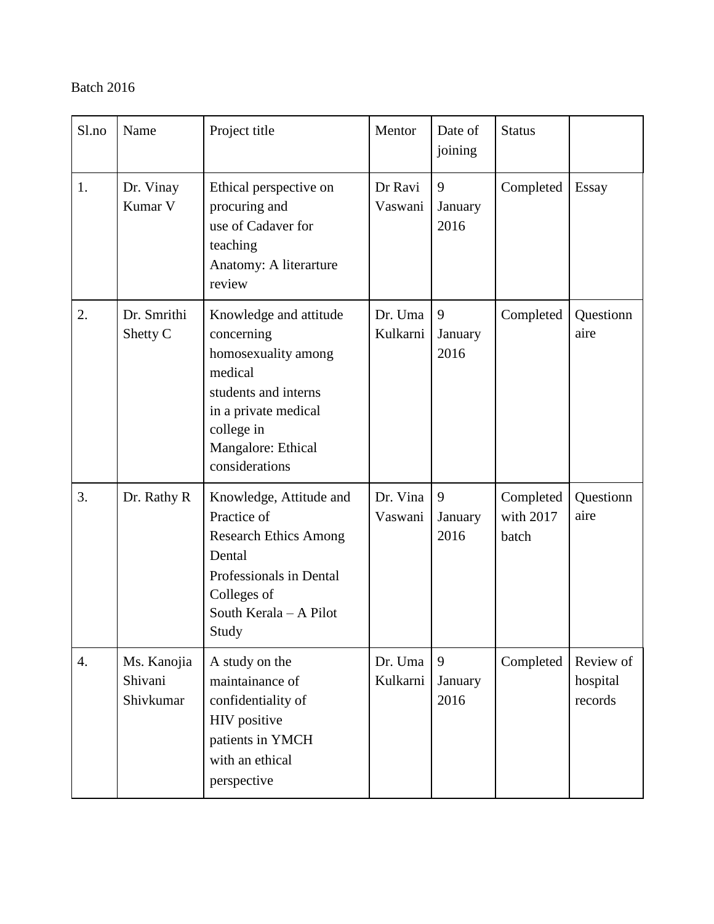| Sl.no            | Name                                | Project title                                                                                                                                                                | Mentor              | Date of<br>joining   | <b>Status</b>                   |                                  |
|------------------|-------------------------------------|------------------------------------------------------------------------------------------------------------------------------------------------------------------------------|---------------------|----------------------|---------------------------------|----------------------------------|
| 1.               | Dr. Vinay<br>Kumar V                | Ethical perspective on<br>procuring and<br>use of Cadaver for<br>teaching<br>Anatomy: A literarture<br>review                                                                | Dr Ravi<br>Vaswani  | 9<br>January<br>2016 | Completed                       | Essay                            |
| 2.               | Dr. Smrithi<br>Shetty C             | Knowledge and attitude<br>concerning<br>homosexuality among<br>medical<br>students and interns<br>in a private medical<br>college in<br>Mangalore: Ethical<br>considerations | Dr. Uma<br>Kulkarni | 9<br>January<br>2016 | Completed                       | Questionn<br>aire                |
| 3.               | Dr. Rathy R                         | Knowledge, Attitude and<br>Practice of<br><b>Research Ethics Among</b><br>Dental<br>Professionals in Dental<br>Colleges of<br>South Kerala - A Pilot<br>Study                | Dr. Vina<br>Vaswani | 9<br>January<br>2016 | Completed<br>with 2017<br>batch | Questionn<br>aire                |
| $\overline{4}$ . | Ms. Kanojia<br>Shivani<br>Shivkumar | A study on the<br>maintainance of<br>confidentiality of<br>HIV positive<br>patients in YMCH<br>with an ethical<br>perspective                                                | Dr. Uma<br>Kulkarni | 9<br>January<br>2016 | Completed                       | Review of<br>hospital<br>records |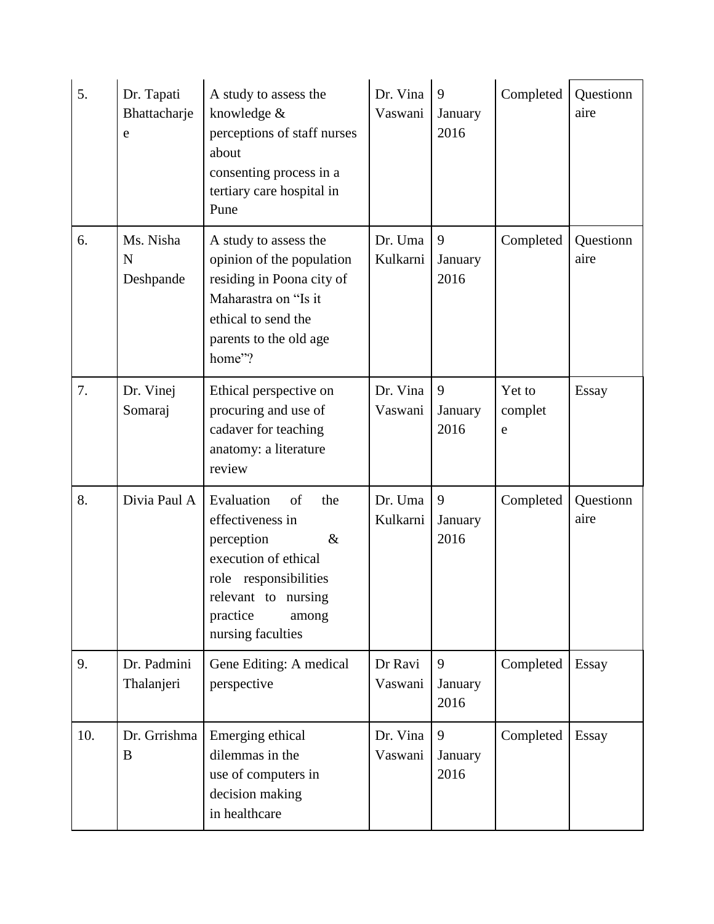| 5.  | Dr. Tapati<br>Bhattacharje<br>e | A study to assess the<br>knowledge &<br>perceptions of staff nurses<br>about<br>consenting process in a<br>tertiary care hospital in<br>Pune                                        | Dr. Vina<br>Vaswani | 9<br>January<br>2016 | Completed              | Questionn<br>aire |
|-----|---------------------------------|-------------------------------------------------------------------------------------------------------------------------------------------------------------------------------------|---------------------|----------------------|------------------------|-------------------|
| 6.  | Ms. Nisha<br>N<br>Deshpande     | A study to assess the<br>opinion of the population<br>residing in Poona city of<br>Maharastra on "Is it<br>ethical to send the<br>parents to the old age<br>home"?                  | Dr. Uma<br>Kulkarni | 9<br>January<br>2016 | Completed              | Questionn<br>aire |
| 7.  | Dr. Vinej<br>Somaraj            | Ethical perspective on<br>procuring and use of<br>cadaver for teaching<br>anatomy: a literature<br>review                                                                           | Dr. Vina<br>Vaswani | 9<br>January<br>2016 | Yet to<br>complet<br>e | <b>Essay</b>      |
| 8.  | Divia Paul A                    | Evaluation<br>of<br>the<br>effectiveness in<br>perception<br>$\&$<br>execution of ethical<br>role responsibilities<br>relevant to nursing<br>practice<br>among<br>nursing faculties | Dr. Uma<br>Kulkarni | 9<br>January<br>2016 | Completed              | Questionn<br>aire |
| 9.  | Dr. Padmini<br>Thalanjeri       | Gene Editing: A medical<br>perspective                                                                                                                                              | Dr Ravi<br>Vaswani  | 9<br>January<br>2016 | Completed              | Essay             |
| 10. | Dr. Grrishma<br>B               | Emerging ethical<br>dilemmas in the<br>use of computers in<br>decision making<br>in healthcare                                                                                      | Dr. Vina<br>Vaswani | 9<br>January<br>2016 | Completed              | Essay             |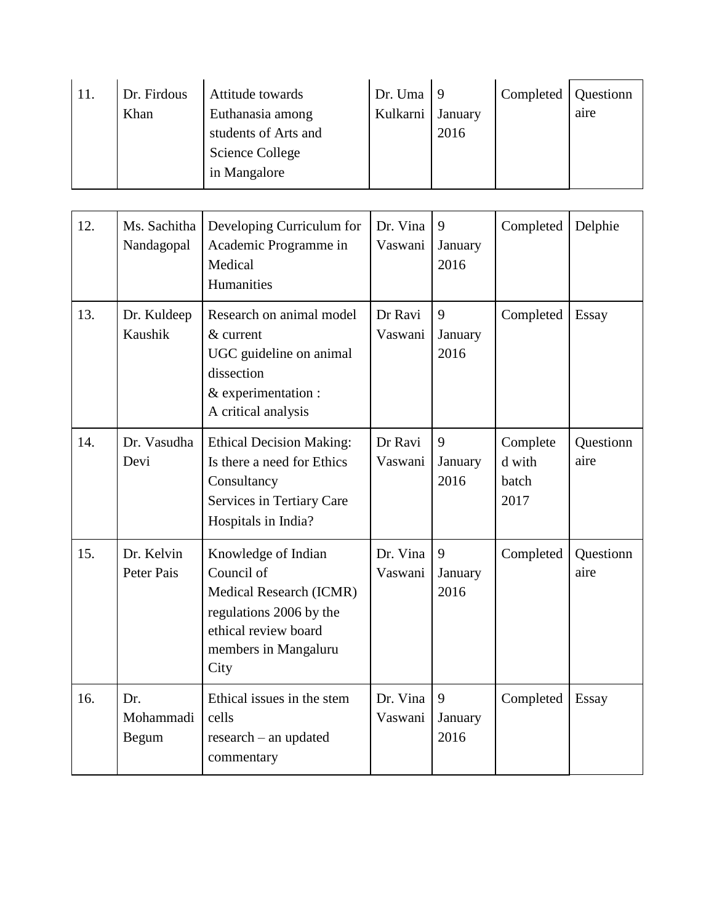| 11. | Dr. Firdous<br>Khan | Attitude towards<br>Euthanasia among<br>students of Arts and<br>Science College | Dr. Uma $ 9$<br>Kulkarni | January<br>2016 | Completed   Questionn | aire |
|-----|---------------------|---------------------------------------------------------------------------------|--------------------------|-----------------|-----------------------|------|
|     |                     | in Mangalore                                                                    |                          |                 |                       |      |

| 12.                                                                                                                                                                                | Ms. Sachitha<br>Developing Curriculum for<br>Academic Programme in<br>Nandagopal<br>Medical<br>Humanities                                              |                                                                                                                                  | Dr. Vina<br>Vaswani  | 9<br>January<br>2016 | Completed                           | Delphie           |
|------------------------------------------------------------------------------------------------------------------------------------------------------------------------------------|--------------------------------------------------------------------------------------------------------------------------------------------------------|----------------------------------------------------------------------------------------------------------------------------------|----------------------|----------------------|-------------------------------------|-------------------|
| 13.                                                                                                                                                                                | Dr. Kuldeep<br>Research on animal model<br>Kaushik<br>& current<br>UGC guideline on animal<br>dissection<br>& experimentation :<br>A critical analysis |                                                                                                                                  | Dr Ravi<br>Vaswani   | 9<br>January<br>2016 | Completed                           | Essay             |
| 14.                                                                                                                                                                                | Dr. Vasudha<br>Devi                                                                                                                                    | <b>Ethical Decision Making:</b><br>Is there a need for Ethics<br>Consultancy<br>Services in Tertiary Care<br>Hospitals in India? | Dr Ravi<br>Vaswani   | 9<br>January<br>2016 | Complete<br>d with<br>batch<br>2017 | Questionn<br>aire |
| 15.<br>Dr. Kelvin<br>Knowledge of Indian<br>Council of<br>Peter Pais<br>Medical Research (ICMR)<br>regulations 2006 by the<br>ethical review board<br>members in Mangaluru<br>City |                                                                                                                                                        | Dr. Vina<br>Vaswani                                                                                                              | 9<br>January<br>2016 | Completed            | Questionn<br>aire                   |                   |
| 16.                                                                                                                                                                                | Dr.<br>Mohammadi<br>Begum                                                                                                                              | Ethical issues in the stem<br>cells<br>research - an updated<br>commentary                                                       | Dr. Vina<br>Vaswani  | 9<br>January<br>2016 | Completed                           | <b>Essay</b>      |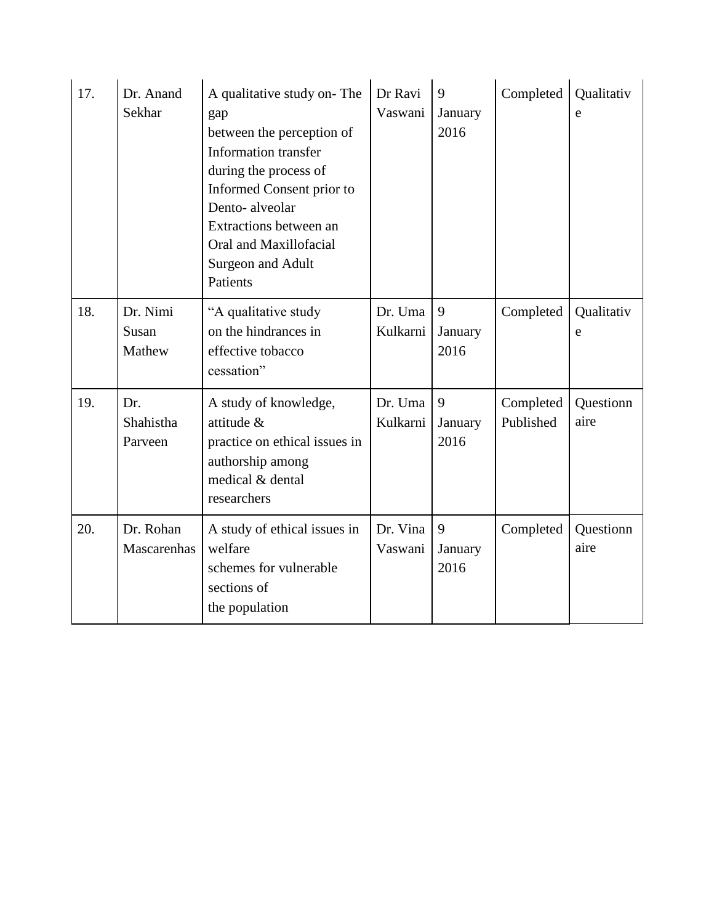| 17. | Dr. Anand<br>Sekhar                                                                                                                                        | A qualitative study on-The<br>gap<br>between the perception of<br><b>Information transfer</b><br>during the process of<br>Informed Consent prior to<br>Dento-alveolar<br>Extractions between an<br>Oral and Maxillofacial<br>Surgeon and Adult<br>Patients | Dr Ravi<br>Vaswani  | 9<br>January<br>2016 | Completed              | Qualitativ<br>e   |
|-----|------------------------------------------------------------------------------------------------------------------------------------------------------------|------------------------------------------------------------------------------------------------------------------------------------------------------------------------------------------------------------------------------------------------------------|---------------------|----------------------|------------------------|-------------------|
| 18. | Dr. Nimi<br>Susan<br>Mathew                                                                                                                                | "A qualitative study<br>on the hindrances in<br>effective tobacco<br>cessation"                                                                                                                                                                            | Dr. Uma<br>Kulkarni | 9<br>January<br>2016 | Completed              | Qualitativ<br>e   |
| 19. | Dr.<br>A study of knowledge,<br>attitude &<br>Shahistha<br>practice on ethical issues in<br>Parveen<br>authorship among<br>medical & dental<br>researchers |                                                                                                                                                                                                                                                            | Dr. Uma<br>Kulkarni | 9<br>January<br>2016 | Completed<br>Published | Questionn<br>aire |
| 20. | Dr. Rohan<br>Mascarenhas                                                                                                                                   | A study of ethical issues in<br>welfare<br>schemes for vulnerable<br>sections of<br>the population                                                                                                                                                         | Dr. Vina<br>Vaswani | 9<br>January<br>2016 | Completed              | Questionn<br>aire |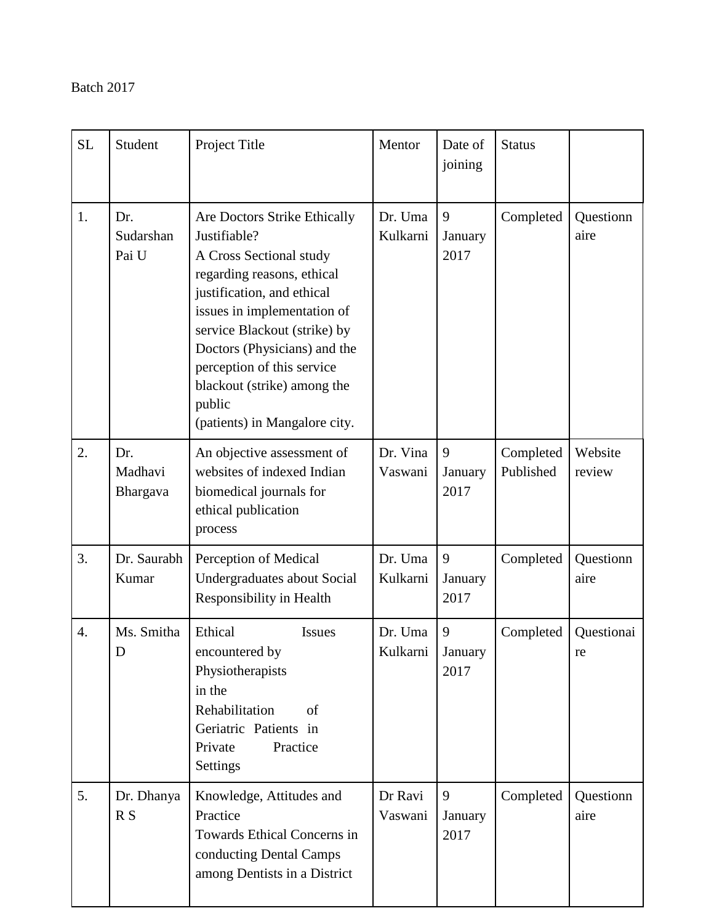| <b>SL</b>                                                                                                                                                                             | Student                                                                                                                                             | Project Title                                                                                                                                                                                                                                                                                                                              | Mentor              | Date of<br>joining   | <b>Status</b>          |                   |
|---------------------------------------------------------------------------------------------------------------------------------------------------------------------------------------|-----------------------------------------------------------------------------------------------------------------------------------------------------|--------------------------------------------------------------------------------------------------------------------------------------------------------------------------------------------------------------------------------------------------------------------------------------------------------------------------------------------|---------------------|----------------------|------------------------|-------------------|
| 1.<br>Dr.<br>Sudarshan<br>Pai U                                                                                                                                                       |                                                                                                                                                     | Are Doctors Strike Ethically<br>Justifiable?<br>A Cross Sectional study<br>regarding reasons, ethical<br>justification, and ethical<br>issues in implementation of<br>service Blackout (strike) by<br>Doctors (Physicians) and the<br>perception of this service<br>blackout (strike) among the<br>public<br>(patients) in Mangalore city. | Dr. Uma<br>Kulkarni | 9<br>January<br>2017 | Completed              | Questionn<br>aire |
| 2.                                                                                                                                                                                    | An objective assessment of<br>Dr.<br>websites of indexed Indian<br>Madhavi<br>biomedical journals for<br>Bhargava<br>ethical publication<br>process |                                                                                                                                                                                                                                                                                                                                            | Dr. Vina<br>Vaswani | 9<br>January<br>2017 | Completed<br>Published | Website<br>review |
| 3.                                                                                                                                                                                    | Dr. Saurabh<br>Kumar                                                                                                                                | Perception of Medical<br>Undergraduates about Social<br><b>Responsibility in Health</b>                                                                                                                                                                                                                                                    | Dr. Uma<br>Kulkarni | 9<br>January<br>2017 | Completed              | Questionn<br>aire |
| Ms. Smitha<br>Ethical<br><b>Issues</b><br>4.<br>D<br>encountered by<br>Physiotherapists<br>in the<br>Rehabilitation<br>of<br>Geriatric Patients in<br>Private<br>Practice<br>Settings |                                                                                                                                                     | Dr. Uma<br>Kulkarni January                                                                                                                                                                                                                                                                                                                | 9<br>2017           | Completed            | Questionai<br>re       |                   |
| 5.                                                                                                                                                                                    | Knowledge, Attitudes and<br>Dr. Dhanya<br>Practice<br>R S<br>Towards Ethical Concerns in<br>conducting Dental Camps<br>among Dentists in a District |                                                                                                                                                                                                                                                                                                                                            | Dr Ravi<br>Vaswani  | 9<br>January<br>2017 | Completed              | Questionn<br>aire |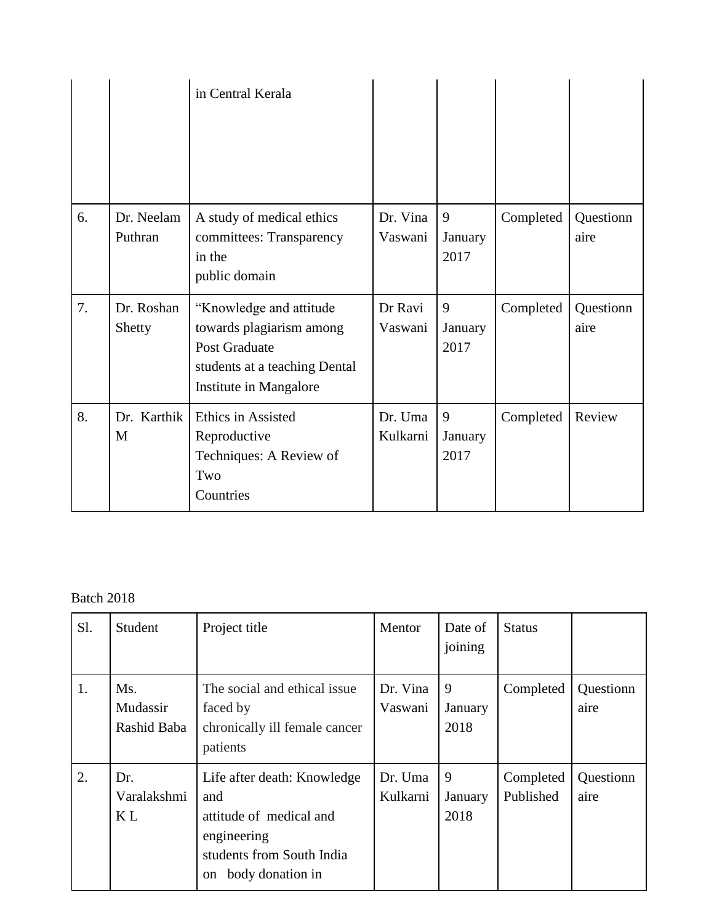|    |                       | in Central Kerala                                                                                                               |                     |                      |           |                   |
|----|-----------------------|---------------------------------------------------------------------------------------------------------------------------------|---------------------|----------------------|-----------|-------------------|
| 6. | Dr. Neelam<br>Puthran | A study of medical ethics<br>committees: Transparency<br>in the<br>public domain                                                | Dr. Vina<br>Vaswani | 9<br>January<br>2017 | Completed | Questionn<br>aire |
| 7. | Dr. Roshan<br>Shetty  | "Knowledge and attitude<br>towards plagiarism among<br>Post Graduate<br>students at a teaching Dental<br>Institute in Mangalore | Dr Ravi<br>Vaswani  | 9<br>January<br>2017 | Completed | Questionn<br>aire |
| 8. | Dr. Karthik<br>M      | Ethics in Assisted<br>Reproductive<br>Techniques: A Review of                                                                   | Dr. Uma<br>Kulkarni | 9<br>January<br>2017 | Completed | Review            |

| Sl. | Student                              | Project title                                                                                                                       | Mentor              | Date of<br>joining   | <b>Status</b>          |                   |
|-----|--------------------------------------|-------------------------------------------------------------------------------------------------------------------------------------|---------------------|----------------------|------------------------|-------------------|
| 1.  | Ms.<br>Mudassir<br>Rashid Baba       | The social and ethical issue.<br>faced by<br>chronically ill female cancer<br>patients                                              | Dr. Vina<br>Vaswani | 9<br>January<br>2018 | Completed              | Questionn<br>aire |
| 2.  | Dr.<br>Varalakshmi<br>K <sub>L</sub> | Life after death: Knowledge<br>and<br>attitude of medical and<br>engineering<br>students from South India<br>body donation in<br>on | Dr. Uma<br>Kulkarni | 9<br>January<br>2018 | Completed<br>Published | Questionn<br>aire |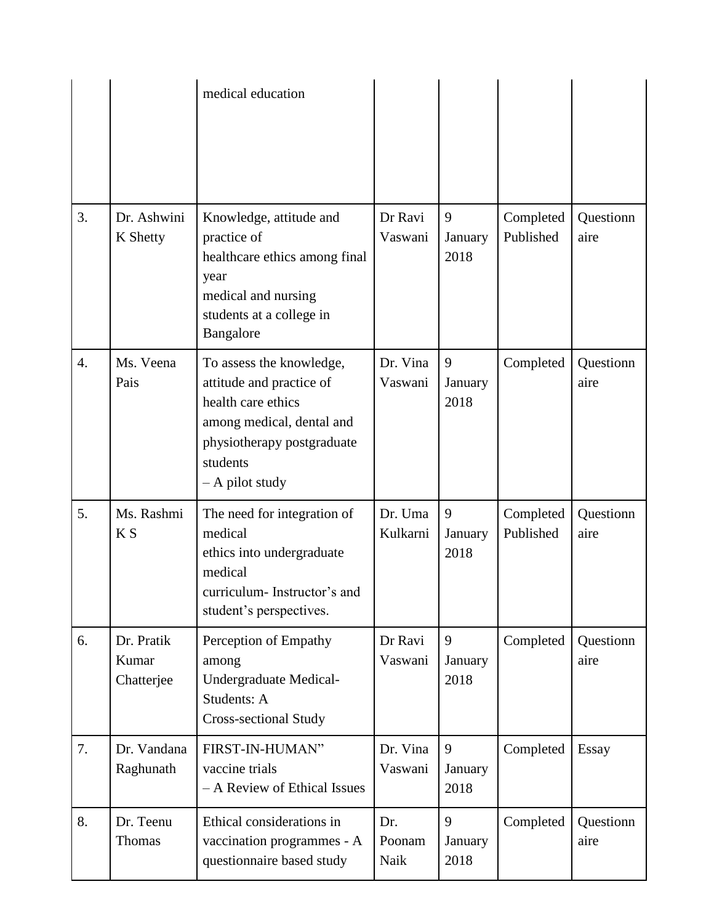|                  |                                                                                                                                                                                             | medical education                                                                                                                               |                       |                      |                        |                   |
|------------------|---------------------------------------------------------------------------------------------------------------------------------------------------------------------------------------------|-------------------------------------------------------------------------------------------------------------------------------------------------|-----------------------|----------------------|------------------------|-------------------|
| 3.               | Dr. Ashwini<br>K Shetty                                                                                                                                                                     | Knowledge, attitude and<br>practice of<br>healthcare ethics among final<br>year<br>medical and nursing<br>students at a college in<br>Bangalore | Dr Ravi<br>Vaswani    | 9<br>January<br>2018 | Completed<br>Published | Questionn<br>aire |
| $\overline{4}$ . | Ms. Veena<br>To assess the knowledge,<br>Pais<br>attitude and practice of<br>health care ethics<br>among medical, dental and<br>physiotherapy postgraduate<br>students<br>$-$ A pilot study |                                                                                                                                                 | Dr. Vina<br>Vaswani   | 9<br>January<br>2018 | Completed              | Questionn<br>aire |
| 5.               | Ms. Rashmi<br>The need for integration of<br>K S<br>medical<br>ethics into undergraduate<br>medical<br>curriculum- Instructor's and<br>student's perspectives.                              |                                                                                                                                                 | Dr. Uma<br>Kulkarni   | 9<br>January<br>2018 | Completed<br>Published | Questionn<br>aire |
| 6.               | Dr. Pratik<br>Kumar<br>Chatterjee                                                                                                                                                           | Perception of Empathy<br>among<br>Undergraduate Medical-<br>Students: A<br><b>Cross-sectional Study</b>                                         | Dr Ravi<br>Vaswani    | 9<br>January<br>2018 | Completed              | Questionn<br>aire |
| 7.               | Dr. Vandana<br>Raghunath                                                                                                                                                                    | FIRST-IN-HUMAN"<br>vaccine trials<br>- A Review of Ethical Issues                                                                               | Dr. Vina<br>Vaswani   | 9<br>January<br>2018 | Completed              | Essay             |
| 8.               | Dr. Teenu<br>Thomas                                                                                                                                                                         | Ethical considerations in<br>vaccination programmes - A<br>questionnaire based study                                                            | Dr.<br>Poonam<br>Naik | 9<br>January<br>2018 | Completed              | Questionn<br>aire |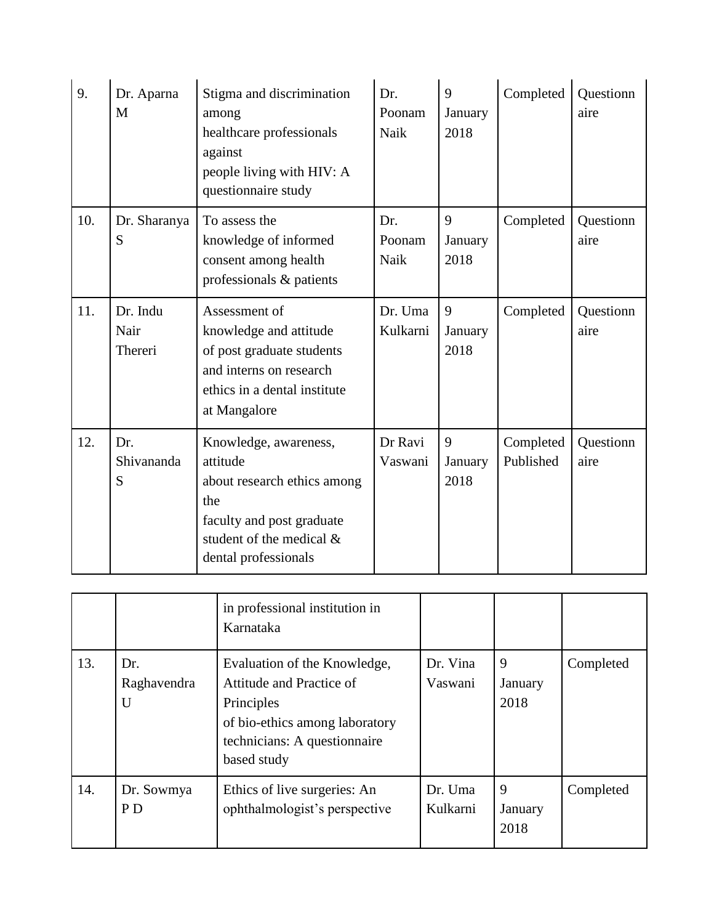| 9.  | Dr. Aparna<br>M                                                                                                 | Stigma and discrimination<br>among<br>healthcare professionals<br>against<br>people living with HIV: A<br>questionnaire study                            | Dr.<br>Poonam<br>Naik | 9<br>January<br>2018 | Completed              | Questionn<br>aire |
|-----|-----------------------------------------------------------------------------------------------------------------|----------------------------------------------------------------------------------------------------------------------------------------------------------|-----------------------|----------------------|------------------------|-------------------|
| 10. | To assess the<br>Dr. Sharanya<br>S<br>knowledge of informed<br>consent among health<br>professionals & patients |                                                                                                                                                          | Dr.<br>Poonam<br>Naik | 9<br>January<br>2018 | Completed              | Questionn<br>aire |
| 11. | Dr. Indu<br>Nair<br>Thereri                                                                                     | Assessment of<br>knowledge and attitude<br>of post graduate students<br>and interns on research<br>ethics in a dental institute<br>at Mangalore          | Dr. Uma<br>Kulkarni   | 9<br>January<br>2018 | Completed              | Questionn<br>aire |
| 12. | Dr.<br>Shivananda<br>S                                                                                          | Knowledge, awareness,<br>attitude<br>about research ethics among<br>the<br>faculty and post graduate<br>student of the medical &<br>dental professionals | Dr Ravi<br>Vaswani    | 9<br>January<br>2018 | Completed<br>Published | Questionn<br>aire |

|     |                              | in professional institution in<br>Karnataka                                                                                                             |                     |                      |           |
|-----|------------------------------|---------------------------------------------------------------------------------------------------------------------------------------------------------|---------------------|----------------------|-----------|
| 13. | Dr.<br>Raghavendra<br>U      | Evaluation of the Knowledge,<br>Attitude and Practice of<br>Principles<br>of bio-ethics among laboratory<br>technicians: A questionnaire<br>based study | Dr. Vina<br>Vaswani | 9<br>January<br>2018 | Completed |
| 14. | Dr. Sowmya<br>P <sub>D</sub> | Ethics of live surgeries: An<br>ophthalmologist's perspective                                                                                           | Dr. Uma<br>Kulkarni | 9<br>January<br>2018 | Completed |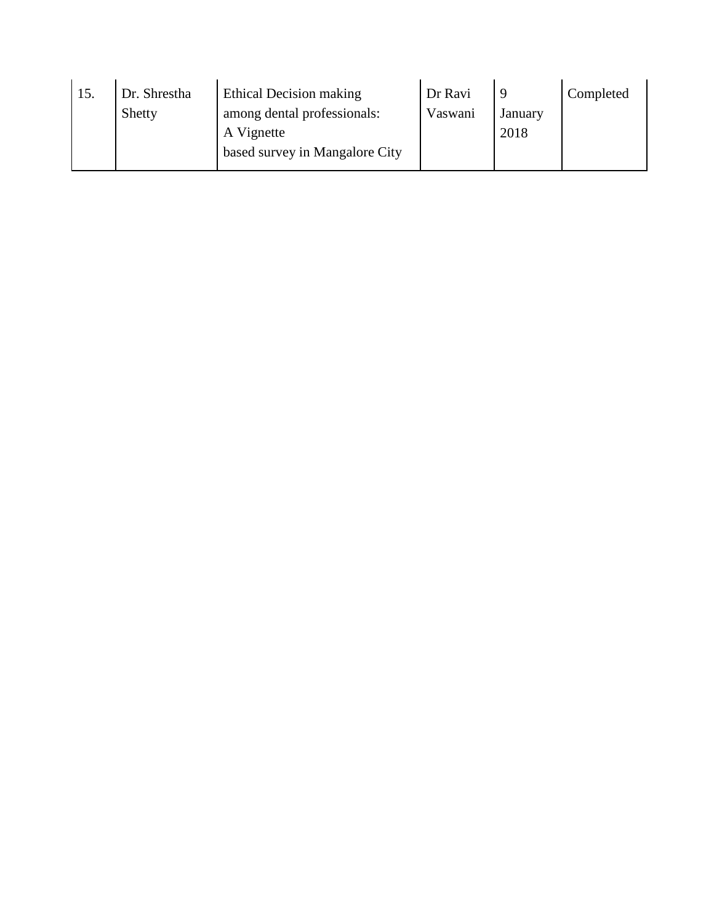| 15. | Dr. Shrestha | Ethical Decision making        | Dr Ravi |         | Completed |
|-----|--------------|--------------------------------|---------|---------|-----------|
|     | Shetty       | among dental professionals:    | Vaswani | January |           |
|     |              | A Vignette                     |         | 2018    |           |
|     |              | based survey in Mangalore City |         |         |           |
|     |              |                                |         |         |           |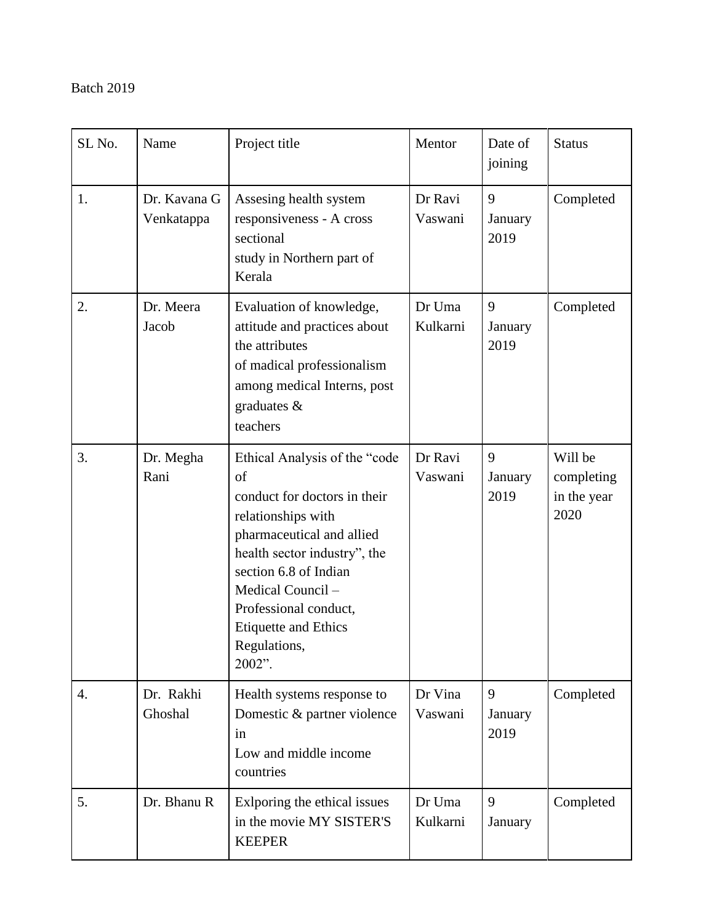| SL <sub>No.</sub> | Name                       | Project title                                                                                                                                                                                                                                                                         | Mentor             | Date of<br>joining   | <b>Status</b>                                |
|-------------------|----------------------------|---------------------------------------------------------------------------------------------------------------------------------------------------------------------------------------------------------------------------------------------------------------------------------------|--------------------|----------------------|----------------------------------------------|
| 1.                | Dr. Kavana G<br>Venkatappa | Assesing health system<br>responsiveness - A cross<br>sectional<br>study in Northern part of<br>Kerala                                                                                                                                                                                | Dr Ravi<br>Vaswani | 9<br>January<br>2019 | Completed                                    |
| 2.                | Dr. Meera<br>Jacob         | Evaluation of knowledge,<br>attitude and practices about<br>the attributes<br>of madical professionalism<br>among medical Interns, post<br>graduates &<br>teachers                                                                                                                    | Dr Uma<br>Kulkarni | 9<br>January<br>2019 | Completed                                    |
| 3.                | Dr. Megha<br>Rani          | Ethical Analysis of the "code<br>of<br>conduct for doctors in their<br>relationships with<br>pharmaceutical and allied<br>health sector industry", the<br>section 6.8 of Indian<br>Medical Council-<br>Professional conduct,<br><b>Etiquette and Ethics</b><br>Regulations,<br>2002". | Dr Ravi<br>Vaswani | 9<br>January<br>2019 | Will be<br>completing<br>in the year<br>2020 |
| $\overline{4}$ .  | Dr. Rakhi<br>Ghoshal       | Health systems response to<br>Domestic & partner violence<br>in<br>Low and middle income<br>countries                                                                                                                                                                                 | Dr Vina<br>Vaswani | 9<br>January<br>2019 | Completed                                    |
| 5.                | Dr. Bhanu R                | Exlporing the ethical issues<br>in the movie MY SISTER'S<br><b>KEEPER</b>                                                                                                                                                                                                             | Dr Uma<br>Kulkarni | 9<br>January         | Completed                                    |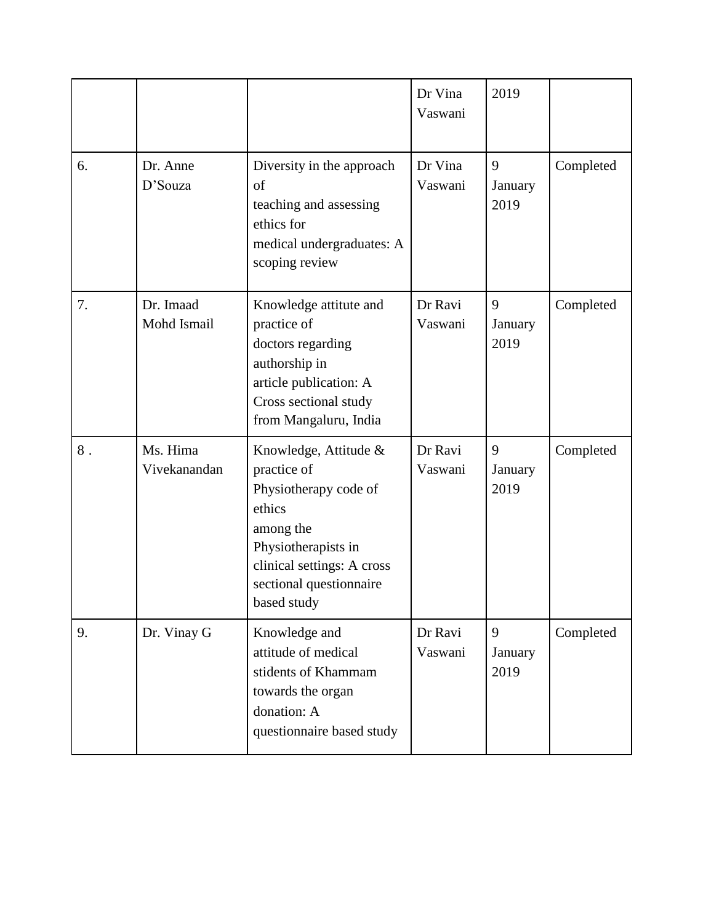|       |                          |                                                                                                                                                                                     | Dr Vina<br>Vaswani | 2019                 |           |
|-------|--------------------------|-------------------------------------------------------------------------------------------------------------------------------------------------------------------------------------|--------------------|----------------------|-----------|
| 6.    | Dr. Anne<br>D'Souza      | Diversity in the approach<br>of<br>teaching and assessing<br>ethics for<br>medical undergraduates: A<br>scoping review                                                              | Dr Vina<br>Vaswani | 9<br>January<br>2019 | Completed |
| 7.    | Dr. Imaad<br>Mohd Ismail | Knowledge attitute and<br>practice of<br>doctors regarding<br>authorship in<br>article publication: A<br>Cross sectional study<br>from Mangaluru, India                             | Dr Ravi<br>Vaswani | 9<br>January<br>2019 | Completed |
| $8$ . | Ms. Hima<br>Vivekanandan | Knowledge, Attitude &<br>practice of<br>Physiotherapy code of<br>ethics<br>among the<br>Physiotherapists in<br>clinical settings: A cross<br>sectional questionnaire<br>based study | Dr Ravi<br>Vaswani | 9<br>January<br>2019 | Completed |
| 9.    | Dr. Vinay G              | Knowledge and<br>attitude of medical<br>stidents of Khammam<br>towards the organ<br>donation: A<br>questionnaire based study                                                        | Dr Ravi<br>Vaswani | 9<br>January<br>2019 | Completed |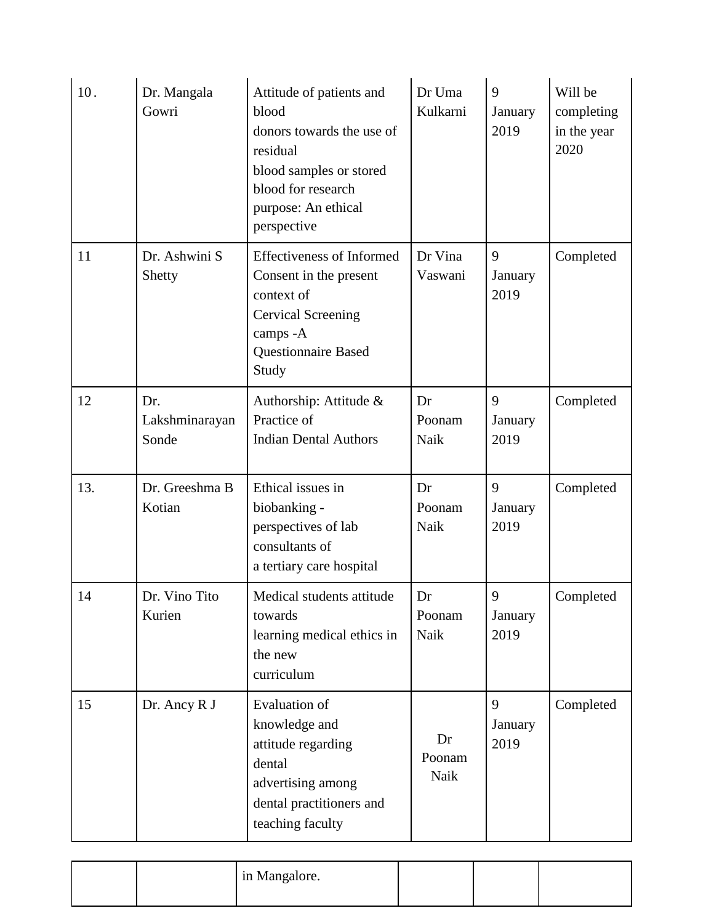| 10. | Dr. Mangala<br>Gowri           | Attitude of patients and<br>blood<br>donors towards the use of<br>residual<br>blood samples or stored<br>blood for research<br>purpose: An ethical<br>perspective | Dr Uma<br>Kulkarni   | 9<br>January<br>2019 | Will be<br>completing<br>in the year<br>2020 |
|-----|--------------------------------|-------------------------------------------------------------------------------------------------------------------------------------------------------------------|----------------------|----------------------|----------------------------------------------|
| 11  | Dr. Ashwini S<br>Shetty        | <b>Effectiveness of Informed</b><br>Consent in the present<br>context of<br><b>Cervical Screening</b><br>camps -A<br><b>Questionnaire Based</b><br>Study          | Dr Vina<br>Vaswani   | 9<br>January<br>2019 | Completed                                    |
| 12  | Dr.<br>Lakshminarayan<br>Sonde | Authorship: Attitude &<br>Practice of<br><b>Indian Dental Authors</b>                                                                                             | Dr<br>Poonam<br>Naik | 9<br>January<br>2019 | Completed                                    |
| 13. | Dr. Greeshma B<br>Kotian       | Ethical issues in<br>biobanking -<br>perspectives of lab<br>consultants of<br>a tertiary care hospital                                                            | Dr<br>Poonam<br>Naik | 9<br>January<br>2019 | Completed                                    |
| 14  | Dr. Vino Tito<br>Kurien        | Medical students attitude<br>towards<br>learning medical ethics in<br>the new<br>curriculum                                                                       | Dr<br>Poonam<br>Naik | 9<br>January<br>2019 | Completed                                    |
| 15  | Dr. Ancy R J                   | <b>Evaluation of</b><br>knowledge and<br>attitude regarding<br>dental<br>advertising among<br>dental practitioners and<br>teaching faculty                        | Dr<br>Poonam<br>Naik | 9<br>January<br>2019 | Completed                                    |

|  | in Mangalore. |  |  |
|--|---------------|--|--|
|  |               |  |  |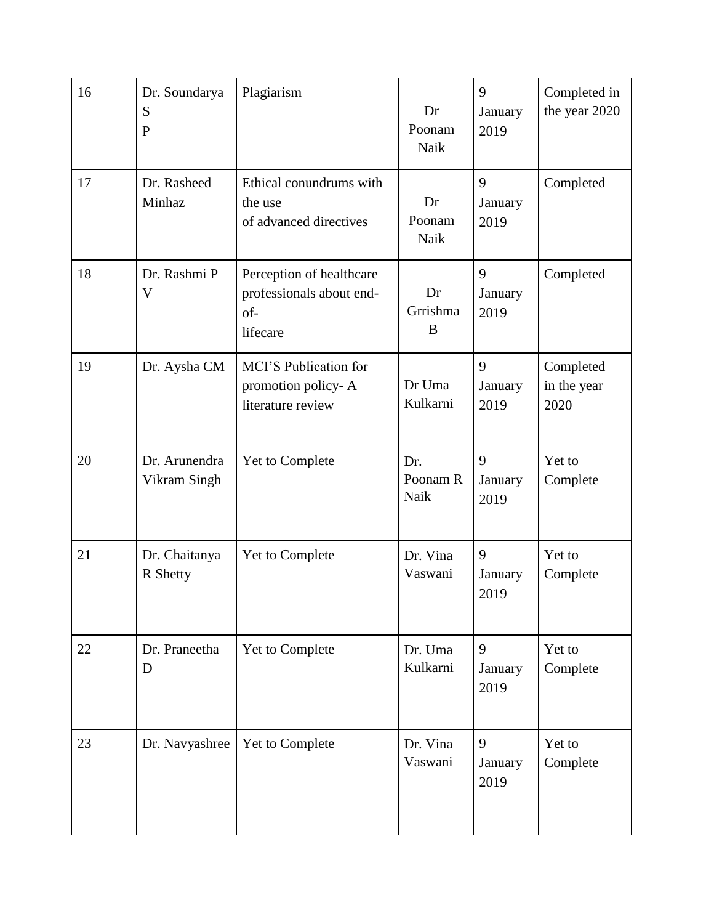| 16 | Dr. Soundarya<br>S<br>$\mathbf P$ | Plagiarism                                                              | Dr<br>Poonam<br>Naik    | 9<br>January<br>2019 | Completed in<br>the year 2020    |
|----|-----------------------------------|-------------------------------------------------------------------------|-------------------------|----------------------|----------------------------------|
| 17 | Dr. Rasheed<br>Minhaz             | Ethical conundrums with<br>the use<br>of advanced directives            | Dr<br>Poonam<br>Naik    | 9<br>January<br>2019 | Completed                        |
| 18 | Dr. Rashmi P<br>V                 | Perception of healthcare<br>professionals about end-<br>of-<br>lifecare | Dr<br>Grrishma<br>B     | 9<br>January<br>2019 | Completed                        |
| 19 | Dr. Aysha CM                      | MCI'S Publication for<br>promotion policy-A<br>literature review        | Dr Uma<br>Kulkarni      | 9<br>January<br>2019 | Completed<br>in the year<br>2020 |
| 20 | Dr. Arunendra<br>Vikram Singh     | Yet to Complete                                                         | Dr.<br>Poonam R<br>Naik | 9<br>January<br>2019 | Yet to<br>Complete               |
| 21 | Dr. Chaitanya<br>R Shetty         | Yet to Complete                                                         | Dr. Vina<br>Vaswani     | 9<br>January<br>2019 | Yet to<br>Complete               |
| 22 | Dr. Praneetha<br>D                | Yet to Complete                                                         | Dr. Uma<br>Kulkarni     | 9<br>January<br>2019 | Yet to<br>Complete               |
| 23 | Dr. Navyashree                    | Yet to Complete                                                         | Dr. Vina<br>Vaswani     | 9<br>January<br>2019 | Yet to<br>Complete               |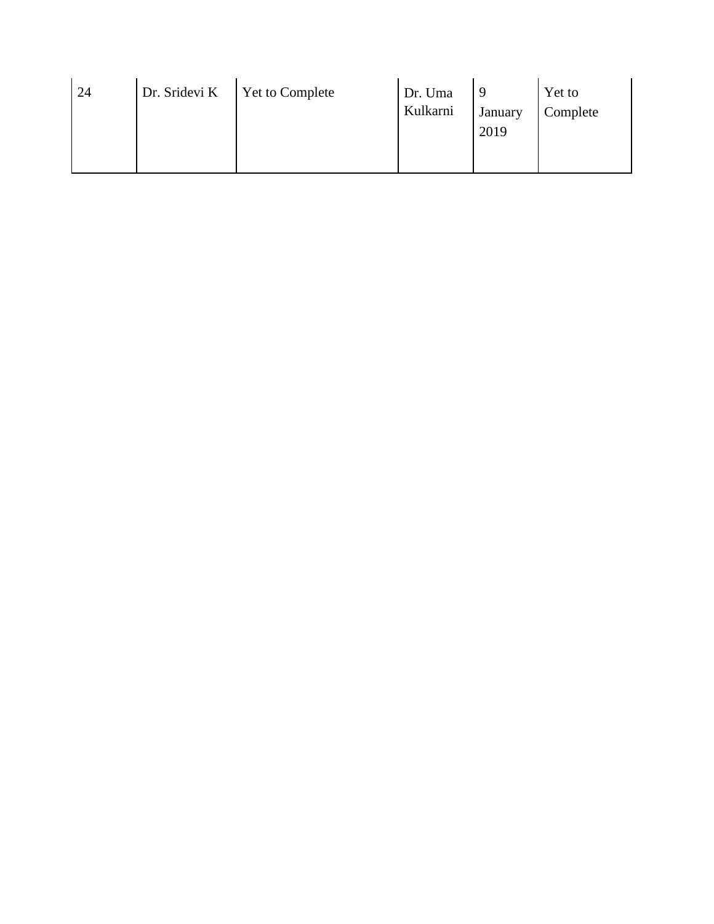| 24 | Dr. Sridevi K | <b>Yet to Complete</b> | Dr. Uma<br>Kulkarni | <sup>Q</sup><br>January | Yet to<br>Complete |
|----|---------------|------------------------|---------------------|-------------------------|--------------------|
|    |               |                        |                     | 2019                    |                    |
|    |               |                        |                     |                         |                    |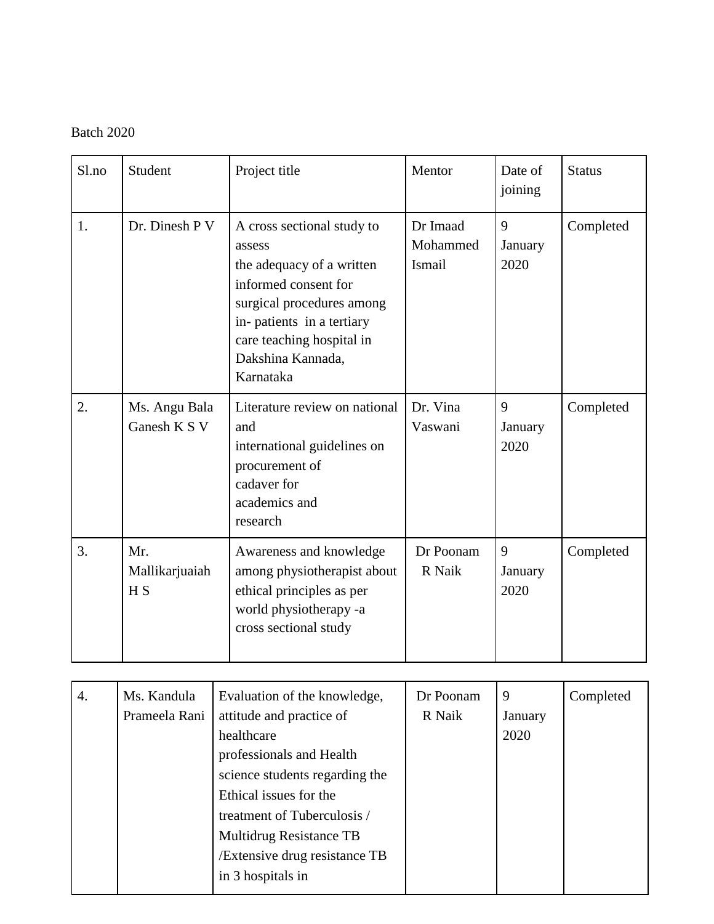| S1.no | Student                                 | Project title                                                                                                                                                                                                      | Mentor                         | Date of<br>joining   | <b>Status</b> |
|-------|-----------------------------------------|--------------------------------------------------------------------------------------------------------------------------------------------------------------------------------------------------------------------|--------------------------------|----------------------|---------------|
| 1.    | Dr. Dinesh P V                          | A cross sectional study to<br>assess<br>the adequacy of a written<br>informed consent for<br>surgical procedures among<br>in-patients in a tertiary<br>care teaching hospital in<br>Dakshina Kannada,<br>Karnataka | Dr Imaad<br>Mohammed<br>Ismail | 9<br>January<br>2020 | Completed     |
| 2.    | Ms. Angu Bala<br>Ganesh K S V           | Literature review on national<br>and<br>international guidelines on<br>procurement of<br>cadaver for<br>academics and<br>research                                                                                  | Dr. Vina<br>Vaswani            | 9<br>January<br>2020 | Completed     |
| 3.    | Mr.<br>Mallikarjuaiah<br>H <sub>S</sub> | Awareness and knowledge<br>among physiotherapist about<br>ethical principles as per<br>world physiotherapy -a<br>cross sectional study                                                                             | Dr Poonam<br>R Naik            | 9<br>January<br>2020 | Completed     |

| 4. | Ms. Kandula<br>Prameela Rani | Evaluation of the knowledge,<br>attitude and practice of<br>healthcare<br>professionals and Health<br>science students regarding the<br>Ethical issues for the<br>treatment of Tuberculosis /<br>Multidrug Resistance TB<br>/Extensive drug resistance TB | Dr Poonam<br>R Naik | 9<br>January<br>2020 | Completed |
|----|------------------------------|-----------------------------------------------------------------------------------------------------------------------------------------------------------------------------------------------------------------------------------------------------------|---------------------|----------------------|-----------|
|    |                              | in 3 hospitals in                                                                                                                                                                                                                                         |                     |                      |           |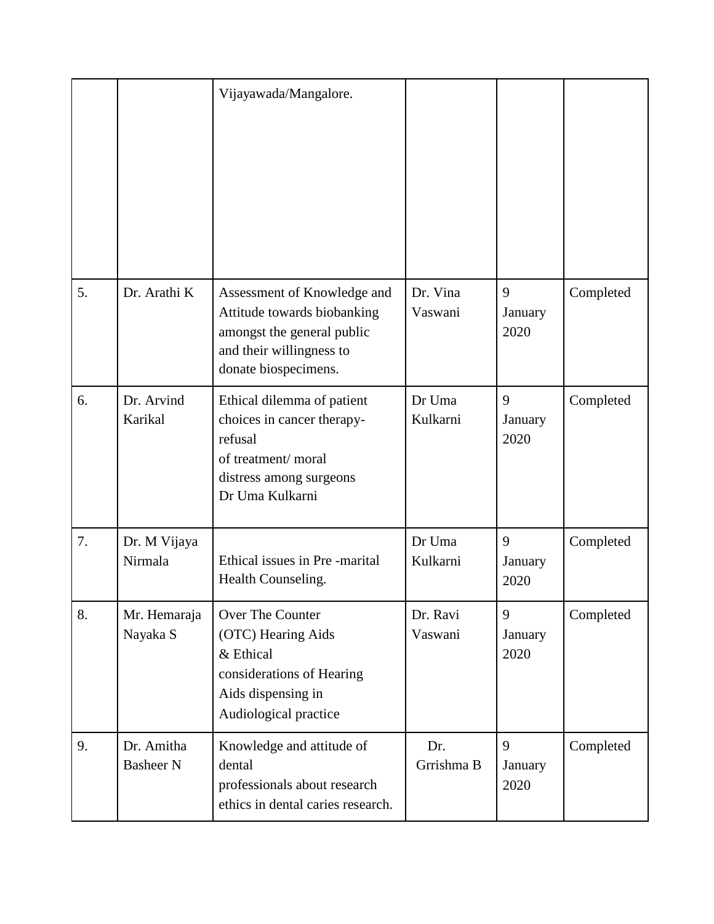|    |                                | Vijayawada/Mangalore.                                                                                                                        |                     |                      |           |
|----|--------------------------------|----------------------------------------------------------------------------------------------------------------------------------------------|---------------------|----------------------|-----------|
| 5. | Dr. Arathi K                   | Assessment of Knowledge and<br>Attitude towards biobanking<br>amongst the general public<br>and their willingness to<br>donate biospecimens. | Dr. Vina<br>Vaswani | 9<br>January<br>2020 | Completed |
| 6. | Dr. Arvind<br>Karikal          | Ethical dilemma of patient<br>choices in cancer therapy-<br>refusal<br>of treatment/moral<br>distress among surgeons<br>Dr Uma Kulkarni      | Dr Uma<br>Kulkarni  | 9<br>January<br>2020 | Completed |
| 7. | Dr. M Vijaya<br>Nirmala        | Ethical issues in Pre-marital<br>Health Counseling.                                                                                          | Dr Uma<br>Kulkarni  | 9<br>January<br>2020 | Completed |
| 8. | Mr. Hemaraja<br>Nayaka S       | Over The Counter<br>(OTC) Hearing Aids<br>& Ethical<br>considerations of Hearing<br>Aids dispensing in<br>Audiological practice              | Dr. Ravi<br>Vaswani | 9<br>January<br>2020 | Completed |
| 9. | Dr. Amitha<br><b>Basheer N</b> | Knowledge and attitude of<br>dental<br>professionals about research<br>ethics in dental caries research.                                     | Dr.<br>Grrishma B   | 9<br>January<br>2020 | Completed |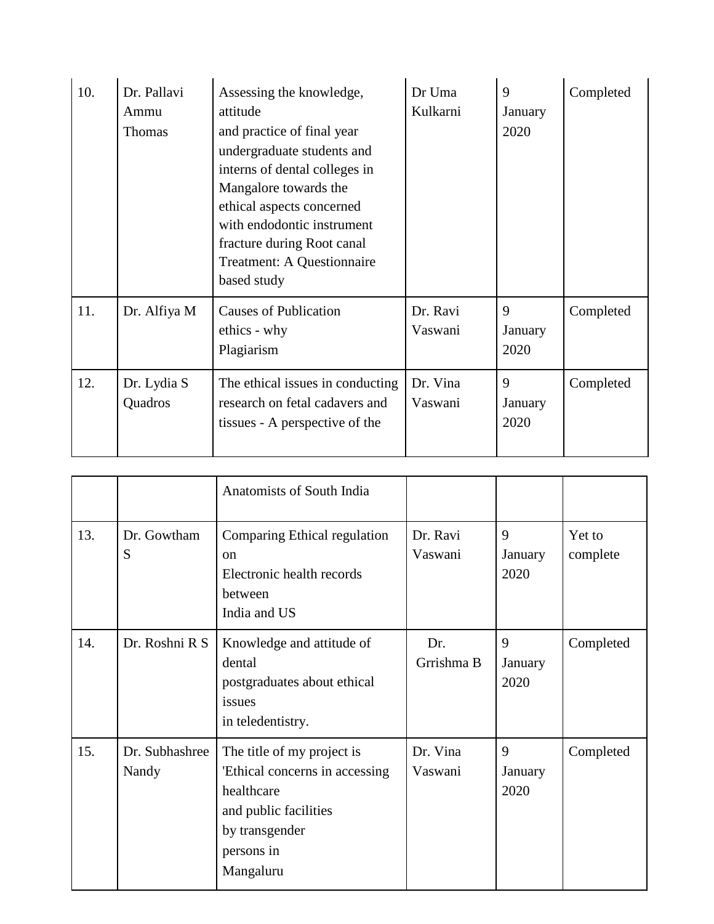| 10. | Dr. Pallavi<br>Ammu<br><b>Thomas</b> | Assessing the knowledge,<br>attitude<br>and practice of final year<br>undergraduate students and<br>interns of dental colleges in<br>Mangalore towards the<br>ethical aspects concerned<br>with endodontic instrument<br>fracture during Root canal<br>Treatment: A Questionnaire<br>based study | Dr Uma<br>Kulkarni  | 9<br>January<br>2020 | Completed |
|-----|--------------------------------------|--------------------------------------------------------------------------------------------------------------------------------------------------------------------------------------------------------------------------------------------------------------------------------------------------|---------------------|----------------------|-----------|
| 11. | Dr. Alfiya M                         | <b>Causes of Publication</b><br>ethics - why<br>Plagiarism                                                                                                                                                                                                                                       | Dr. Ravi<br>Vaswani | 9<br>January<br>2020 | Completed |
| 12. | Dr. Lydia S<br>Quadros               | The ethical issues in conducting<br>research on fetal cadavers and<br>tissues - A perspective of the                                                                                                                                                                                             | Dr. Vina<br>Vaswani | 9<br>January<br>2020 | Completed |

|     |                         | Anatomists of South India                                                                                                                        |                     |                      |                    |
|-----|-------------------------|--------------------------------------------------------------------------------------------------------------------------------------------------|---------------------|----------------------|--------------------|
| 13. | Dr. Gowtham<br>S        | Comparing Ethical regulation<br><sub>on</sub><br>Electronic health records<br>between<br>India and US                                            | Dr. Ravi<br>Vaswani | 9<br>January<br>2020 | Yet to<br>complete |
| 14. | Dr. Roshni R S          | Knowledge and attitude of<br>dental<br>postgraduates about ethical<br>issues<br>in teledentistry.                                                | Dr.<br>Grrishma B   | 9<br>January<br>2020 | Completed          |
| 15. | Dr. Subhashree<br>Nandy | The title of my project is<br>'Ethical concerns in accessing<br>healthcare<br>and public facilities<br>by transgender<br>persons in<br>Mangaluru | Dr. Vina<br>Vaswani | 9<br>January<br>2020 | Completed          |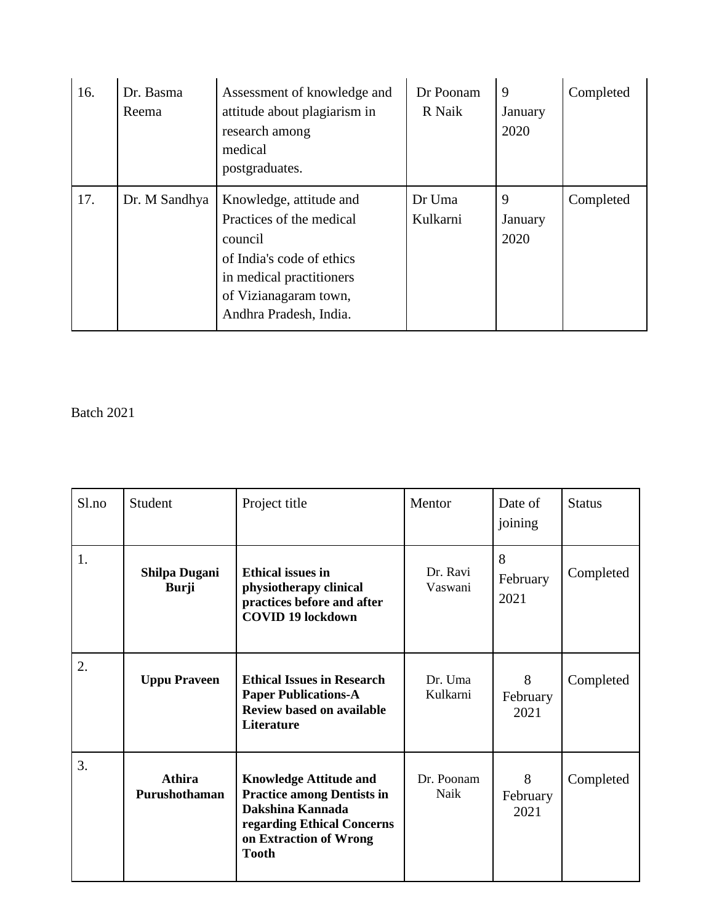| 16. | Dr. Basma<br>Reema | Assessment of knowledge and<br>attitude about plagiarism in<br>research among<br>medical<br>postgraduates.                                                                 | Dr Poonam<br>R Naik | 9<br>January<br>2020 | Completed |
|-----|--------------------|----------------------------------------------------------------------------------------------------------------------------------------------------------------------------|---------------------|----------------------|-----------|
| 17. | Dr. M Sandhya      | Knowledge, attitude and<br>Practices of the medical<br>council<br>of India's code of ethics<br>in medical practitioners<br>of Vizianagaram town,<br>Andhra Pradesh, India. | Dr Uma<br>Kulkarni  | 9<br>January<br>2020 | Completed |

| Sl.no | Student                              | Project title                                                                                                                                                  | Mentor              | Date of<br>joining    | <b>Status</b> |
|-------|--------------------------------------|----------------------------------------------------------------------------------------------------------------------------------------------------------------|---------------------|-----------------------|---------------|
| 1.    | <b>Shilpa Dugani</b><br><b>Burji</b> | <b>Ethical issues in</b><br>physiotherapy clinical<br>practices before and after<br><b>COVID 19 lockdown</b>                                                   | Dr. Ravi<br>Vaswani | 8<br>February<br>2021 | Completed     |
| 2.    | <b>Uppu Praveen</b>                  | <b>Ethical Issues in Research</b><br><b>Paper Publications-A</b><br><b>Review based on available</b><br><b>Literature</b>                                      | Dr. Uma<br>Kulkarni | 8<br>February<br>2021 | Completed     |
| 3.    | Athira<br>Purushothaman              | <b>Knowledge Attitude and</b><br><b>Practice among Dentists in</b><br>Dakshina Kannada<br>regarding Ethical Concerns<br>on Extraction of Wrong<br><b>Tooth</b> | Dr. Poonam<br>Naik  | 8<br>February<br>2021 | Completed     |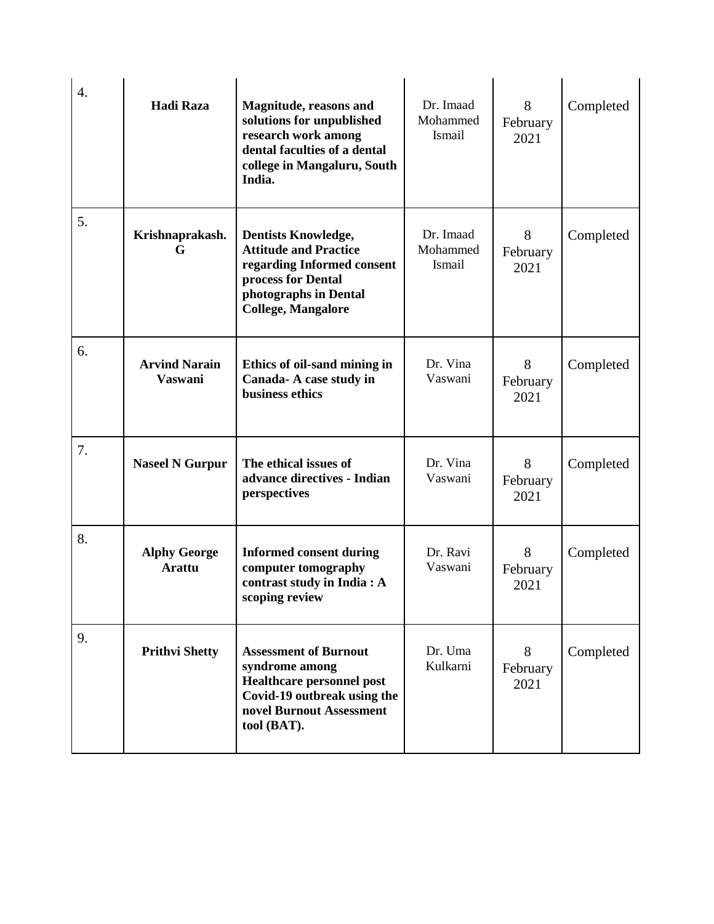| $\overline{4}$ . | <b>Hadi Raza</b>                       | Magnitude, reasons and<br>solutions for unpublished<br>research work among<br>dental faculties of a dental<br>college in Mangaluru, South<br>India.                  | Dr. Imaad<br>Mohammed<br>Ismail | 8<br>February<br>2021 | Completed |
|------------------|----------------------------------------|----------------------------------------------------------------------------------------------------------------------------------------------------------------------|---------------------------------|-----------------------|-----------|
| 5.               | Krishnaprakash.<br>G                   | <b>Dentists Knowledge,</b><br><b>Attitude and Practice</b><br>regarding Informed consent<br>process for Dental<br>photographs in Dental<br><b>College, Mangalore</b> | Dr. Imaad<br>Mohammed<br>Ismail | 8<br>February<br>2021 | Completed |
| 6.               | <b>Arvind Narain</b><br><b>Vaswani</b> | Ethics of oil-sand mining in<br>Canada- A case study in<br>business ethics                                                                                           | Dr. Vina<br>Vaswani             | 8<br>February<br>2021 | Completed |
| 7.               | <b>Naseel N Gurpur</b>                 | The ethical issues of<br>advance directives - Indian<br>perspectives                                                                                                 | Dr. Vina<br>Vaswani             | 8<br>February<br>2021 | Completed |
| 8.               | <b>Alphy George</b><br><b>Arattu</b>   | <b>Informed consent during</b><br>computer tomography<br>contrast study in India: A<br>scoping review                                                                | Dr. Ravi<br>Vaswani             | 8<br>February<br>2021 | Completed |
| 9.               | <b>Prithvi Shetty</b>                  | <b>Assessment of Burnout</b><br>syndrome among<br><b>Healthcare personnel post</b><br>Covid-19 outbreak using the<br>novel Burnout Assessment<br>tool (BAT).         | Dr. Uma<br>Kulkarni             | 8<br>February<br>2021 | Completed |